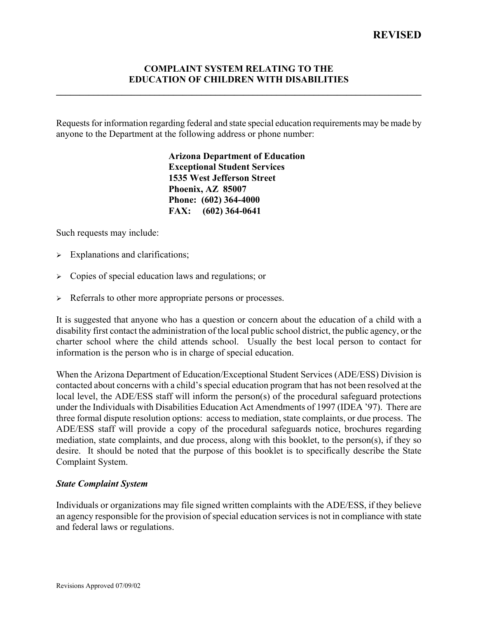### **COMPLAINT SYSTEM RELATING TO THE EDUCATION OF CHILDREN WITH DISABILITIES**

**\_\_\_\_\_\_\_\_\_\_\_\_\_\_\_\_\_\_\_\_\_\_\_\_\_\_\_\_\_\_\_\_\_\_\_\_\_\_\_\_\_\_\_\_\_\_\_\_\_\_\_\_\_\_\_\_\_\_\_\_\_\_\_\_\_\_\_\_\_\_\_\_\_\_\_\_\_\_** 

Requests for information regarding federal and state special education requirements may be made by anyone to the Department at the following address or phone number:

> **Arizona Department of Education Exceptional Student Services 1535 West Jefferson Street Phoenix, AZ 85007 Phone: (602) 364-4000 FAX: (602) 364-0641**

Such requests may include:

- $\triangleright$  Explanations and clarifications;
- $\triangleright$  Copies of special education laws and regulations; or
- $\triangleright$  Referrals to other more appropriate persons or processes.

It is suggested that anyone who has a question or concern about the education of a child with a disability first contact the administration of the local public school district, the public agency, or the charter school where the child attends school. Usually the best local person to contact for information is the person who is in charge of special education.

When the Arizona Department of Education/Exceptional Student Services (ADE/ESS) Division is contacted about concerns with a child's special education program that has not been resolved at the local level, the ADE/ESS staff will inform the person(s) of the procedural safeguard protections under the Individuals with Disabilities Education Act Amendments of 1997 (IDEA '97). There are three formal dispute resolution options: access to mediation, state complaints, or due process. The ADE/ESS staff will provide a copy of the procedural safeguards notice, brochures regarding mediation, state complaints, and due process, along with this booklet, to the person(s), if they so desire. It should be noted that the purpose of this booklet is to specifically describe the State Complaint System.

#### *State Complaint System*

Individuals or organizations may file signed written complaints with the ADE/ESS, if they believe an agency responsible for the provision of special education services is not in compliance with state and federal laws or regulations.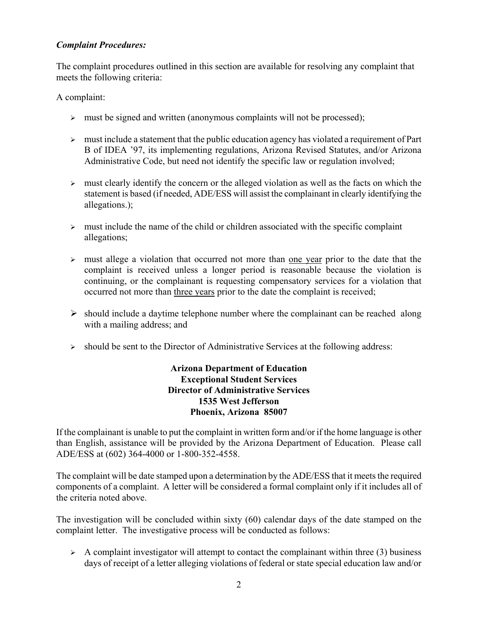## *Complaint Procedures:*

The complaint procedures outlined in this section are available for resolving any complaint that meets the following criteria:

A complaint:

- $\geq$  must be signed and written (anonymous complaints will not be processed);
- $\triangleright$  must include a statement that the public education agency has violated a requirement of Part B of IDEA '97, its implementing regulations, Arizona Revised Statutes, and/or Arizona Administrative Code, but need not identify the specific law or regulation involved;
- $\triangleright$  must clearly identify the concern or the alleged violation as well as the facts on which the statement is based (if needed, ADE/ESS will assist the complainant in clearly identifying the allegations.);
- $\triangleright$  must include the name of the child or children associated with the specific complaint allegations;
- ightharpoonup must allege a violation that occurred not more than <u>one year</u> prior to the date that the complaint is received unless a longer period is reasonable because the violation is continuing, or the complainant is requesting compensatory services for a violation that occurred not more than three years prior to the date the complaint is received;
- $\triangleright$  should include a daytime telephone number where the complainant can be reached along with a mailing address; and
- $\triangleright$  should be sent to the Director of Administrative Services at the following address:

# **Arizona Department of Education Exceptional Student Services Director of Administrative Services 1535 West Jefferson Phoenix, Arizona 85007**

If the complainant is unable to put the complaint in written form and/or if the home language is other than English, assistance will be provided by the Arizona Department of Education. Please call ADE/ESS at (602) 364-4000 or 1-800-352-4558.

The complaint will be date stamped upon a determination by the ADE/ESS that it meets the required components of a complaint. A letter will be considered a formal complaint only if it includes all of the criteria noted above.

The investigation will be concluded within sixty (60) calendar days of the date stamped on the complaint letter. The investigative process will be conducted as follows:

 $\triangleright$  A complaint investigator will attempt to contact the complainant within three (3) business days of receipt of a letter alleging violations of federal or state special education law and/or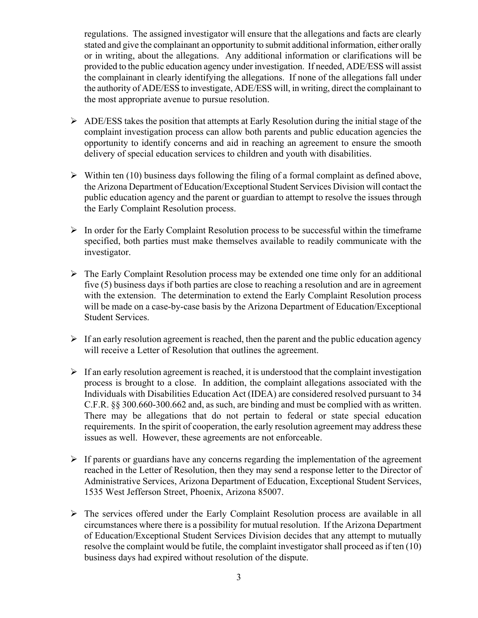regulations. The assigned investigator will ensure that the allegations and facts are clearly stated and give the complainant an opportunity to submit additional information, either orally or in writing, about the allegations. Any additional information or clarifications will be provided to the public education agency under investigation. If needed, ADE/ESS will assist the complainant in clearly identifying the allegations. If none of the allegations fall under the authority of ADE/ESS to investigate, ADE/ESS will, in writing, direct the complainant to the most appropriate avenue to pursue resolution.

- $\triangleright$  ADE/ESS takes the position that attempts at Early Resolution during the initial stage of the complaint investigation process can allow both parents and public education agencies the opportunity to identify concerns and aid in reaching an agreement to ensure the smooth delivery of special education services to children and youth with disabilities.
- $\triangleright$  Within ten (10) business days following the filing of a formal complaint as defined above, the Arizona Department of Education/Exceptional Student Services Division will contact the public education agency and the parent or guardian to attempt to resolve the issues through the Early Complaint Resolution process.
- $\triangleright$  In order for the Early Complaint Resolution process to be successful within the timeframe specified, both parties must make themselves available to readily communicate with the investigator.
- $\triangleright$  The Early Complaint Resolution process may be extended one time only for an additional five (5) business days if both parties are close to reaching a resolution and are in agreement with the extension. The determination to extend the Early Complaint Resolution process will be made on a case-by-case basis by the Arizona Department of Education/Exceptional Student Services.
- $\triangleright$  If an early resolution agreement is reached, then the parent and the public education agency will receive a Letter of Resolution that outlines the agreement.
- $\triangleright$  If an early resolution agreement is reached, it is understood that the complaint investigation process is brought to a close. In addition, the complaint allegations associated with the Individuals with Disabilities Education Act (IDEA) are considered resolved pursuant to 34 C.F.R. §§ 300.660-300.662 and, as such, are binding and must be complied with as written. There may be allegations that do not pertain to federal or state special education requirements. In the spirit of cooperation, the early resolution agreement may address these issues as well. However, these agreements are not enforceable.
- $\triangleright$  If parents or guardians have any concerns regarding the implementation of the agreement reached in the Letter of Resolution, then they may send a response letter to the Director of Administrative Services, Arizona Department of Education, Exceptional Student Services, 1535 West Jefferson Street, Phoenix, Arizona 85007.
- $\triangleright$  The services offered under the Early Complaint Resolution process are available in all circumstances where there is a possibility for mutual resolution. If the Arizona Department of Education/Exceptional Student Services Division decides that any attempt to mutually resolve the complaint would be futile, the complaint investigator shall proceed as if ten (10) business days had expired without resolution of the dispute.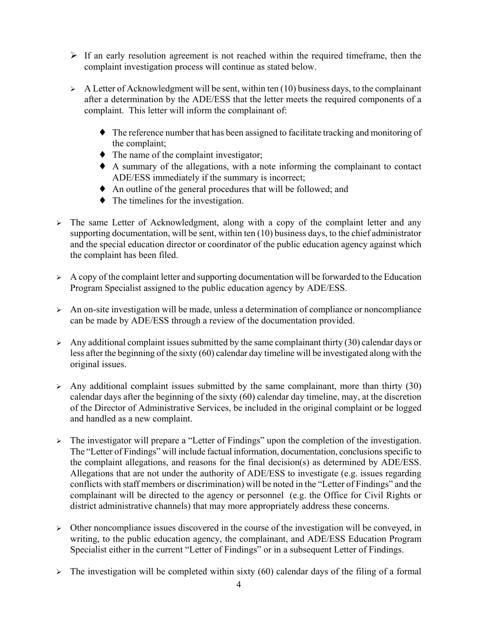- $\triangleright$  If an early resolution agreement is not reached within the required timeframe, then the complaint investigation process will continue as stated below.
- $\triangleright$  A Letter of Acknowledgment will be sent, within ten (10) business days, to the complainant after a determination by the ADE/ESS that the letter meets the required components of a complaint. This letter will inform the complainant of:
	- ♦ The reference number that has been assigned to facilitate tracking and monitoring of the complaint;
	- $\bullet$  The name of the complaint investigator;
	- ♦ A summary of the allegations, with a note informing the complainant to contact ADE/ESS immediately if the summary is incorrect;
	- ♦ An outline of the general procedures that will be followed; and
	- ♦ The timelines for the investigation.
- $\geq$  The same Letter of Acknowledgment, along with a copy of the complaint letter and any supporting documentation, will be sent, within ten (10) business days, to the chief administrator and the special education director or coordinator of the public education agency against which the complaint has been filed.
- $\triangleright$  A copy of the complaint letter and supporting documentation will be forwarded to the Education Program Specialist assigned to the public education agency by ADE/ESS.
- $\geq$  An on-site investigation will be made, unless a determination of compliance or noncompliance can be made by ADE/ESS through a review of the documentation provided.
- $\triangleright$  Any additional complaint issues submitted by the same complainant thirty (30) calendar days or less after the beginning of the sixty (60) calendar day timeline will be investigated along with the original issues.
- $\triangleright$  Any additional complaint issues submitted by the same complainant, more than thirty (30) calendar days after the beginning of the sixty (60) calendar day timeline, may, at the discretion of the Director of Administrative Services, be included in the original complaint or be logged and handled as a new complaint.
- ¾ The investigator will prepare a "Letter of Findings" upon the completion of the investigation. The "Letter of Findings" will include factual information, documentation, conclusions specific to the complaint allegations, and reasons for the final decision(s) as determined by ADE/ESS. Allegations that are not under the authority of ADE/ESS to investigate (e.g. issues regarding conflicts with staff members or discrimination) will be noted in the "Letter of Findings" and the complainant will be directed to the agency or personnel (e.g. the Office for Civil Rights or district administrative channels) that may more appropriately address these concerns.
- $\triangleright$  Other noncompliance issues discovered in the course of the investigation will be conveyed, in writing, to the public education agency, the complainant, and ADE/ESS Education Program Specialist either in the current "Letter of Findings" or in a subsequent Letter of Findings.
- $\geq$  The investigation will be completed within sixty (60) calendar days of the filing of a formal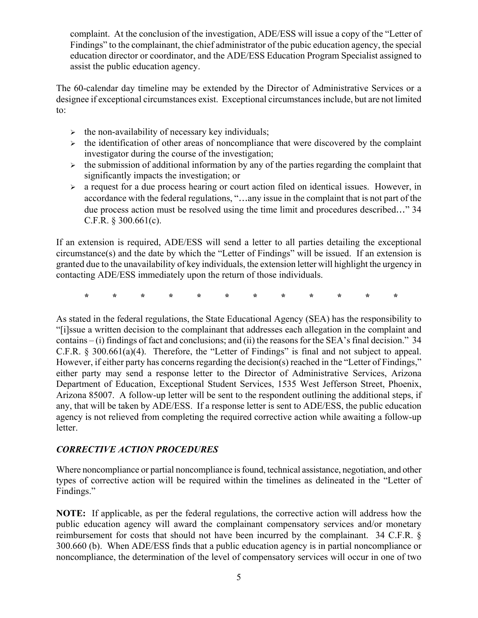complaint. At the conclusion of the investigation, ADE/ESS will issue a copy of the "Letter of Findings" to the complainant, the chief administrator of the pubic education agency, the special education director or coordinator, and the ADE/ESS Education Program Specialist assigned to assist the public education agency.

The 60-calendar day timeline may be extended by the Director of Administrative Services or a designee if exceptional circumstances exist. Exceptional circumstances include, but are not limited to:

- $\geq$  the non-availability of necessary key individuals;
- $\triangleright$  the identification of other areas of noncompliance that were discovered by the complaint investigator during the course of the investigation;
- $\triangleright$  the submission of additional information by any of the parties regarding the complaint that significantly impacts the investigation; or
- $\geq$  a request for a due process hearing or court action filed on identical issues. However, in accordance with the federal regulations, "…any issue in the complaint that is not part of the due process action must be resolved using the time limit and procedures described…" 34 C.F.R. § 300.661(c).

If an extension is required, ADE/ESS will send a letter to all parties detailing the exceptional circumstance(s) and the date by which the "Letter of Findings" will be issued. If an extension is granted due to the unavailability of key individuals, the extension letter will highlight the urgency in contacting ADE/ESS immediately upon the return of those individuals.

**\* \* \* \* \* \* \* \* \* \* \* \*** 

As stated in the federal regulations, the State Educational Agency (SEA) has the responsibility to "[i]ssue a written decision to the complainant that addresses each allegation in the complaint and contains – (i) findings of fact and conclusions; and (ii) the reasons for the SEA's final decision." 34 C.F.R. § 300.661(a)(4). Therefore, the "Letter of Findings" is final and not subject to appeal. However, if either party has concerns regarding the decision(s) reached in the "Letter of Findings," either party may send a response letter to the Director of Administrative Services, Arizona Department of Education, Exceptional Student Services, 1535 West Jefferson Street, Phoenix, Arizona 85007. A follow-up letter will be sent to the respondent outlining the additional steps, if any, that will be taken by ADE/ESS. If a response letter is sent to ADE/ESS, the public education agency is not relieved from completing the required corrective action while awaiting a follow-up letter.

## *CORRECTIVE ACTION PROCEDURES*

Where noncompliance or partial noncompliance is found, technical assistance, negotiation, and other types of corrective action will be required within the timelines as delineated in the "Letter of Findings."

**NOTE:** If applicable, as per the federal regulations, the corrective action will address how the public education agency will award the complainant compensatory services and/or monetary reimbursement for costs that should not have been incurred by the complainant. 34 C.F.R. § 300.660 (b). When ADE/ESS finds that a public education agency is in partial noncompliance or noncompliance, the determination of the level of compensatory services will occur in one of two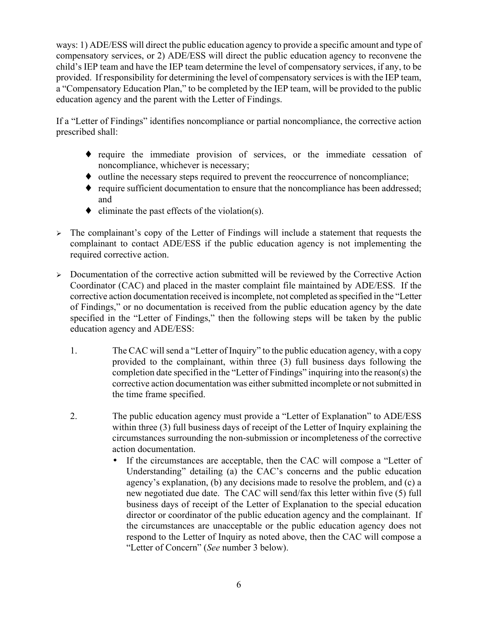ways: 1) ADE/ESS will direct the public education agency to provide a specific amount and type of compensatory services, or 2) ADE/ESS will direct the public education agency to reconvene the child's IEP team and have the IEP team determine the level of compensatory services, if any, to be provided. If responsibility for determining the level of compensatory services is with the IEP team, a "Compensatory Education Plan," to be completed by the IEP team, will be provided to the public education agency and the parent with the Letter of Findings.

If a "Letter of Findings" identifies noncompliance or partial noncompliance, the corrective action prescribed shall:

- ♦ require the immediate provision of services, or the immediate cessation of noncompliance, whichever is necessary;
- ♦ outline the necessary steps required to prevent the reoccurrence of noncompliance;
- ♦ require sufficient documentation to ensure that the noncompliance has been addressed; and
- $\bullet$  eliminate the past effects of the violation(s).
- $\geq$  The complainant's copy of the Letter of Findings will include a statement that requests the complainant to contact ADE/ESS if the public education agency is not implementing the required corrective action.
- ¾ Documentation of the corrective action submitted will be reviewed by the Corrective Action Coordinator (CAC) and placed in the master complaint file maintained by ADE/ESS. If the corrective action documentation received is incomplete, not completed as specified in the "Letter of Findings," or no documentation is received from the public education agency by the date specified in the "Letter of Findings," then the following steps will be taken by the public education agency and ADE/ESS:
	- 1. The CAC will send a "Letter of Inquiry" to the public education agency, with a copy provided to the complainant, within three (3) full business days following the completion date specified in the "Letter of Findings" inquiring into the reason(s) the corrective action documentation was either submitted incomplete or not submitted in the time frame specified.
	- 2. The public education agency must provide a "Letter of Explanation" to ADE/ESS within three (3) full business days of receipt of the Letter of Inquiry explaining the circumstances surrounding the non-submission or incompleteness of the corrective action documentation.
		- If the circumstances are acceptable, then the CAC will compose a "Letter of Understanding" detailing (a) the CAC's concerns and the public education agency's explanation, (b) any decisions made to resolve the problem, and (c) a new negotiated due date. The CAC will send/fax this letter within five (5) full business days of receipt of the Letter of Explanation to the special education director or coordinator of the public education agency and the complainant. If the circumstances are unacceptable or the public education agency does not respond to the Letter of Inquiry as noted above, then the CAC will compose a "Letter of Concern" (*See* number 3 below).